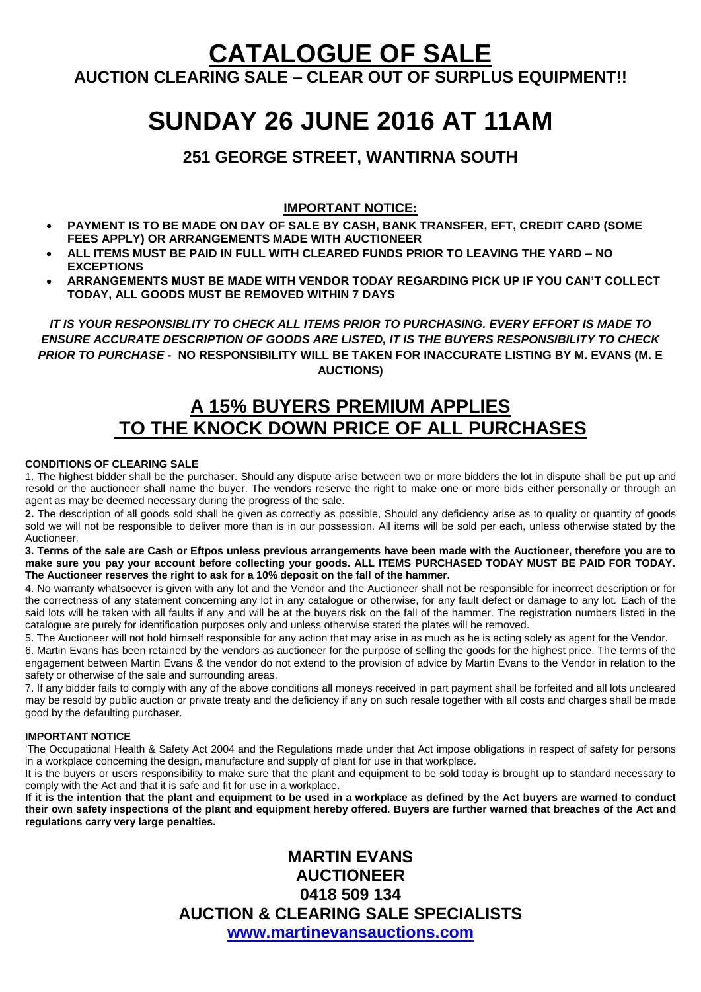# **CATALOGUE OF SALE AUCTION CLEARING SALE – CLEAR OUT OF SURPLUS EQUIPMENT!!**

# **SUNDAY 26 JUNE 2016 AT 11AM**

# **251 GEORGE STREET, WANTIRNA SOUTH**

#### **IMPORTANT NOTICE:**

- **PAYMENT IS TO BE MADE ON DAY OF SALE BY CASH, BANK TRANSFER, EFT, CREDIT CARD (SOME FEES APPLY) OR ARRANGEMENTS MADE WITH AUCTIONEER**
- **ALL ITEMS MUST BE PAID IN FULL WITH CLEARED FUNDS PRIOR TO LEAVING THE YARD – NO EXCEPTIONS**
- **ARRANGEMENTS MUST BE MADE WITH VENDOR TODAY REGARDING PICK UP IF YOU CAN'T COLLECT TODAY, ALL GOODS MUST BE REMOVED WITHIN 7 DAYS**

*IT IS YOUR RESPONSIBLITY TO CHECK ALL ITEMS PRIOR TO PURCHASING. EVERY EFFORT IS MADE TO ENSURE ACCURATE DESCRIPTION OF GOODS ARE LISTED, IT IS THE BUYERS RESPONSIBILITY TO CHECK PRIOR TO PURCHASE -* **NO RESPONSIBILITY WILL BE TAKEN FOR INACCURATE LISTING BY M. EVANS (M. E AUCTIONS)**

# **A 15% BUYERS PREMIUM APPLIES TO THE KNOCK DOWN PRICE OF ALL PURCHASES**

#### **CONDITIONS OF CLEARING SALE**

1. The highest bidder shall be the purchaser. Should any dispute arise between two or more bidders the lot in dispute shall be put up and resold or the auctioneer shall name the buyer. The vendors reserve the right to make one or more bids either personally or through an agent as may be deemed necessary during the progress of the sale.

**2.** The description of all goods sold shall be given as correctly as possible, Should any deficiency arise as to quality or quantity of goods sold we will not be responsible to deliver more than is in our possession. All items will be sold per each, unless otherwise stated by the **Auctioneer** 

**3. Terms of the sale are Cash or Eftpos unless previous arrangements have been made with the Auctioneer, therefore you are to make sure you pay your account before collecting your goods. ALL ITEMS PURCHASED TODAY MUST BE PAID FOR TODAY. The Auctioneer reserves the right to ask for a 10% deposit on the fall of the hammer.** 

4. No warranty whatsoever is given with any lot and the Vendor and the Auctioneer shall not be responsible for incorrect description or for the correctness of any statement concerning any lot in any catalogue or otherwise, for any fault defect or damage to any lot. Each of the said lots will be taken with all faults if any and will be at the buyers risk on the fall of the hammer. The registration numbers listed in the catalogue are purely for identification purposes only and unless otherwise stated the plates will be removed.

5. The Auctioneer will not hold himself responsible for any action that may arise in as much as he is acting solely as agent for the Vendor. 6. Martin Evans has been retained by the vendors as auctioneer for the purpose of selling the goods for the highest price. The terms of the engagement between Martin Evans & the vendor do not extend to the provision of advice by Martin Evans to the Vendor in relation to the safety or otherwise of the sale and surrounding areas.

7. If any bidder fails to comply with any of the above conditions all moneys received in part payment shall be forfeited and all lots uncleared may be resold by public auction or private treaty and the deficiency if any on such resale together with all costs and charges shall be made good by the defaulting purchaser.

#### **IMPORTANT NOTICE**

'The Occupational Health & Safety Act 2004 and the Regulations made under that Act impose obligations in respect of safety for persons in a workplace concerning the design, manufacture and supply of plant for use in that workplace.

It is the buyers or users responsibility to make sure that the plant and equipment to be sold today is brought up to standard necessary to comply with the Act and that it is safe and fit for use in a workplace.

**If it is the intention that the plant and equipment to be used in a workplace as defined by the Act buyers are warned to conduct their own safety inspections of the plant and equipment hereby offered. Buyers are further warned that breaches of the Act and regulations carry very large penalties.** 

> **MARTIN EVANS AUCTIONEER 0418 509 134 AUCTION & CLEARING SALE SPECIALISTS [www.martinevansauctions.com](http://www.martinevansauctions.com/)**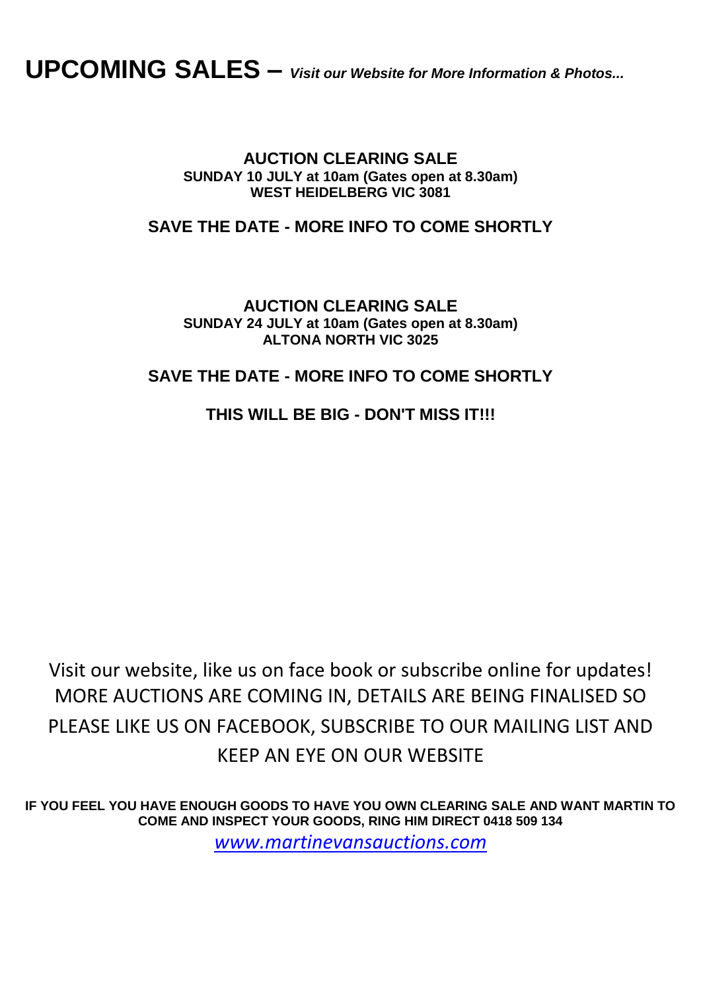# **UPCOMING SALES –** *Visit our Website for More Information & Photos...*

### **AUCTION CLEARING SALE SUNDAY 10 JULY at 10am (Gates open at 8.30am) WEST HEIDELBERG VIC 3081**

# **SAVE THE DATE - MORE INFO TO COME SHORTLY**

**AUCTION CLEARING SALE SUNDAY 24 JULY at 10am (Gates open at 8.30am) ALTONA NORTH VIC 3025**

## **SAVE THE DATE - MORE INFO TO COME SHORTLY**

## **THIS WILL BE BIG - DON'T MISS IT!!!**

Visit our website, like us on face book or subscribe online for updates! MORE AUCTIONS ARE COMING IN, DETAILS ARE BEING FINALISED SO PLEASE LIKE US ON FACEBOOK, SUBSCRIBE TO OUR MAILING LIST AND KEEP AN EYE ON OUR WEBSITE

**IF YOU FEEL YOU HAVE ENOUGH GOODS TO HAVE YOU OWN CLEARING SALE AND WANT MARTIN TO COME AND INSPECT YOUR GOODS, RING HIM DIRECT 0418 509 134** *[www.martinevansauctions.com](http://www.martinevansauctions.com/)*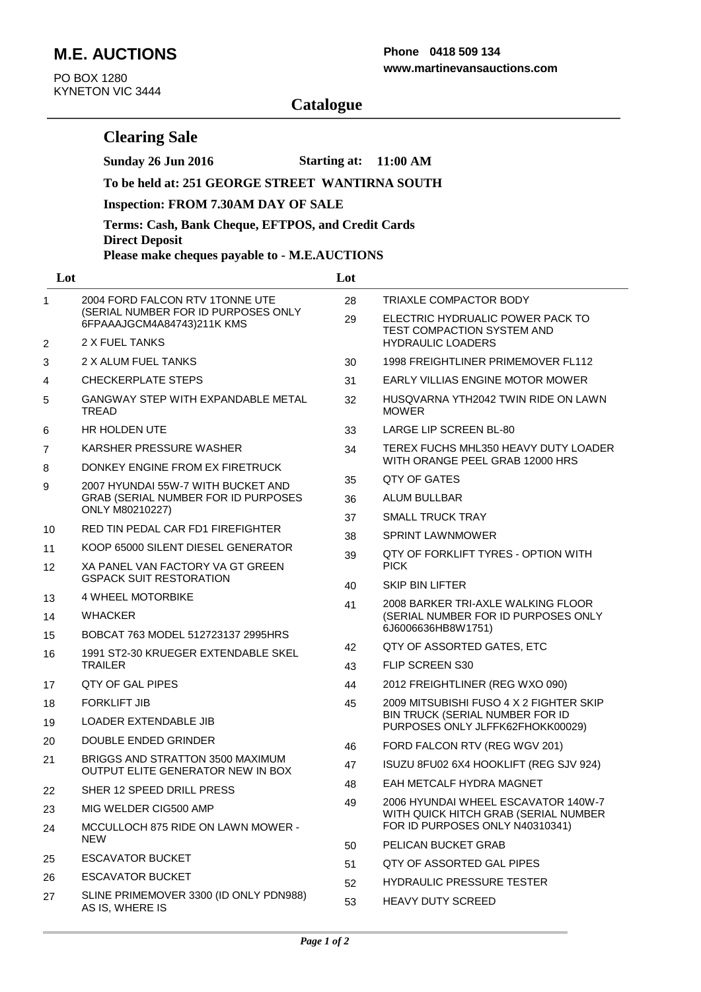# **M.E. AUCTIONS**

**Clearing Sale**

PO BOX 1280 KYNETON VIC 3444

#### **www.martinevansauctions.com Phone 0418 509 134**

# **Catalogue**

**Sunday 26 Jun 2016 Starting at: 11:00 AM**

|                | To be held at: 251 GEORGE STREET WANTIRNA SOUTH                                                                           |     |                                                                                                                |  |  |
|----------------|---------------------------------------------------------------------------------------------------------------------------|-----|----------------------------------------------------------------------------------------------------------------|--|--|
|                | <b>Inspection: FROM 7.30AM DAY OF SALE</b><br>Terms: Cash, Bank Cheque, EFTPOS, and Credit Cards<br><b>Direct Deposit</b> |     |                                                                                                                |  |  |
|                |                                                                                                                           |     |                                                                                                                |  |  |
|                | Please make cheques payable to - M.E.AUCTIONS                                                                             |     |                                                                                                                |  |  |
| Lot            |                                                                                                                           | Lot |                                                                                                                |  |  |
| $\mathbf{1}$   | 2004 FORD FALCON RTV 1TONNE UTE<br>(SERIAL NUMBER FOR ID PURPOSES ONLY<br>6FPAAAJGCM4A84743)211K KMS                      | 28  | TRIAXLE COMPACTOR BODY                                                                                         |  |  |
|                |                                                                                                                           | 29  | ELECTRIC HYDRUALIC POWER PACK TO<br>TEST COMPACTION SYSTEM AND                                                 |  |  |
| $\overline{2}$ | 2 X FUEL TANKS                                                                                                            |     | <b>HYDRAULIC LOADERS</b>                                                                                       |  |  |
| 3              | 2 X ALUM FUEL TANKS                                                                                                       | 30  | 1998 FREIGHTLINER PRIMEMOVER FL112                                                                             |  |  |
| 4              | <b>CHECKERPLATE STEPS</b>                                                                                                 | 31  | <b>EARLY VILLIAS ENGINE MOTOR MOWER</b>                                                                        |  |  |
| 5              | <b>GANGWAY STEP WITH EXPANDABLE METAL</b><br><b>TREAD</b>                                                                 | 32  | HUSQVARNA YTH2042 TWIN RIDE ON LAWN<br><b>MOWER</b>                                                            |  |  |
| 6              | HR HOLDEN UTE                                                                                                             | 33  | LARGE LIP SCREEN BL-80                                                                                         |  |  |
| 7<br>8         | KARSHER PRESSURE WASHER<br>DONKEY ENGINE FROM EX FIRETRUCK                                                                | 34  | TEREX FUCHS MHL350 HEAVY DUTY LOADER<br>WITH ORANGE PEEL GRAB 12000 HRS                                        |  |  |
| 9              | 2007 HYUNDAI 55W-7 WITH BUCKET AND                                                                                        | 35  | QTY OF GATES                                                                                                   |  |  |
|                | GRAB (SERIAL NUMBER FOR ID PURPOSES                                                                                       | 36  | ALUM BULLBAR                                                                                                   |  |  |
|                | ONLY M80210227)                                                                                                           | 37  | <b>SMALL TRUCK TRAY</b>                                                                                        |  |  |
| 10             | RED TIN PEDAL CAR FD1 FIREFIGHTER                                                                                         | 38  | <b>SPRINT LAWNMOWER</b>                                                                                        |  |  |
| 11             | KOOP 65000 SILENT DIESEL GENERATOR                                                                                        | 39  | QTY OF FORKLIFT TYRES - OPTION WITH<br><b>PICK</b>                                                             |  |  |
| 12             | XA PANEL VAN FACTORY VA GT GREEN<br><b>GSPACK SUIT RESTORATION</b>                                                        |     |                                                                                                                |  |  |
| 13             | <b>4 WHEEL MOTORBIKE</b>                                                                                                  | 40  | <b>SKIP BIN LIFTER</b>                                                                                         |  |  |
| 14             | <b>WHACKER</b>                                                                                                            | 41  | 2008 BARKER TRI-AXLE WALKING FLOOR<br>(SERIAL NUMBER FOR ID PURPOSES ONLY                                      |  |  |
| 15             | BOBCAT 763 MODEL 512723137 2995HRS                                                                                        |     | 6J6006636HB8W1751)                                                                                             |  |  |
| 16             | 1991 ST2-30 KRUEGER EXTENDABLE SKEL<br><b>TRAILER</b>                                                                     | 42  | QTY OF ASSORTED GATES, ETC                                                                                     |  |  |
|                |                                                                                                                           | 43  | FLIP SCREEN S30                                                                                                |  |  |
| 17             | QTY OF GAL PIPES                                                                                                          | 44  | 2012 FREIGHTLINER (REG WXO 090)                                                                                |  |  |
| 18             | FORKLIFT JIB                                                                                                              | 45  | 2009 MITSUBISHI FUSO 4 X 2 FIGHTER SKIP<br>BIN TRUCK (SERIAL NUMBER FOR ID<br>PURPOSES ONLY JLFFK62FHOKK00029) |  |  |
| 19             | LOADER EXTENDABLE JIB                                                                                                     |     |                                                                                                                |  |  |
| 20             | DOUBLE ENDED GRINDER                                                                                                      | 46  | FORD FALCON RTV (REG WGV 201)                                                                                  |  |  |
| 21             | BRIGGS AND STRATTON 3500 MAXIMUM<br>OUTPUT ELITE GENERATOR NEW IN BOX                                                     | 47  | ISUZU 8FU02 6X4 HOOKLIFT (REG SJV 924)                                                                         |  |  |
| 22             | SHER 12 SPEED DRILL PRESS                                                                                                 | 48  | EAH METCALF HYDRA MAGNET                                                                                       |  |  |
| 23             | MIG WELDER CIG500 AMP                                                                                                     | 49  | 2006 HYUNDAI WHEEL ESCAVATOR 140W-7<br>WITH QUICK HITCH GRAB (SERIAL NUMBER                                    |  |  |
| 24             | MCCULLOCH 875 RIDE ON LAWN MOWER -<br><b>NEW</b>                                                                          |     | FOR ID PURPOSES ONLY N40310341)                                                                                |  |  |
| 25             | <b>ESCAVATOR BUCKET</b>                                                                                                   | 50  | PELICAN BUCKET GRAB                                                                                            |  |  |
| 26             | <b>ESCAVATOR BUCKET</b>                                                                                                   | 51  | QTY OF ASSORTED GAL PIPES                                                                                      |  |  |
| 27             | SLINE PRIMEMOVER 3300 (ID ONLY PDN988)                                                                                    | 52  | HYDRAULIC PRESSURE TESTER                                                                                      |  |  |
|                | AS IS, WHERE IS                                                                                                           | 53  | <b>HEAVY DUTY SCREED</b>                                                                                       |  |  |